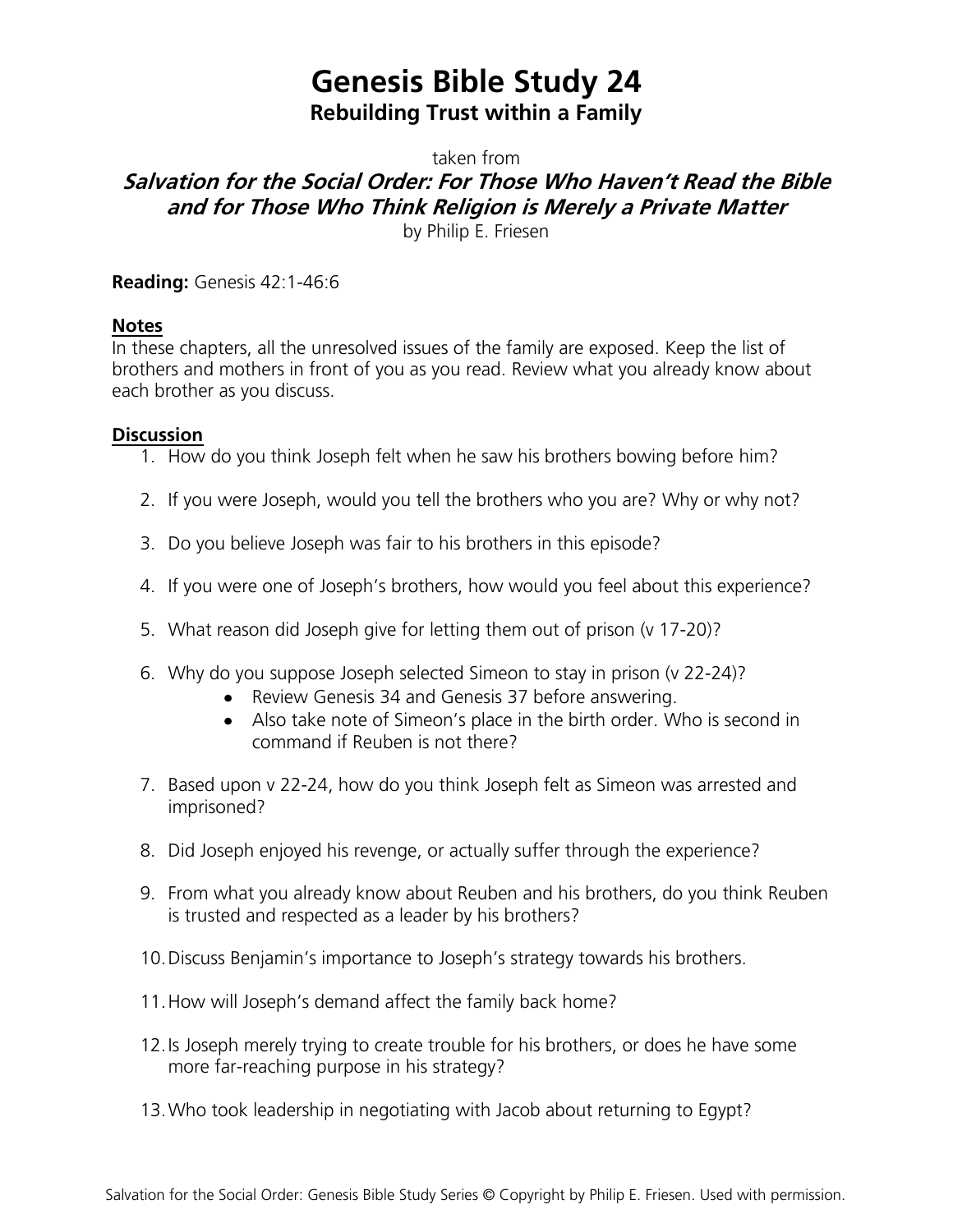## **Genesis Bible Study 24 Rebuilding Trust within a Family**

taken from

## **Salvation for the Social Order: For Those Who Haven't Read the Bible and for Those Who Think Religion is Merely a Private Matter**

by Philip E. Friesen

**Reading:** Genesis 42:1-46:6

## **Notes**

In these chapters, all the unresolved issues of the family are exposed. Keep the list of brothers and mothers in front of you as you read. Review what you already know about each brother as you discuss.

## **Discussion**

- 1. How do you think Joseph felt when he saw his brothers bowing before him?
- 2. If you were Joseph, would you tell the brothers who you are? Why or why not?
- 3. Do you believe Joseph was fair to his brothers in this episode?
- 4. If you were one of Joseph's brothers, how would you feel about this experience?
- 5. What reason did Joseph give for letting them out of prison (v 17-20)?
- 6. Why do you suppose Joseph selected Simeon to stay in prison (v 22-24)?
	- Review Genesis 34 and Genesis 37 before answering.
	- Also take note of Simeon's place in the birth order. Who is second in command if Reuben is not there?
- 7. Based upon v 22-24, how do you think Joseph felt as Simeon was arrested and imprisoned?
- 8. Did Joseph enjoyed his revenge, or actually suffer through the experience?
- 9. From what you already know about Reuben and his brothers, do you think Reuben is trusted and respected as a leader by his brothers?
- 10.Discuss Benjamin's importance to Joseph's strategy towards his brothers.
- 11.How will Joseph's demand affect the family back home?
- 12.Is Joseph merely trying to create trouble for his brothers, or does he have some more far-reaching purpose in his strategy?
- 13.Who took leadership in negotiating with Jacob about returning to Egypt?